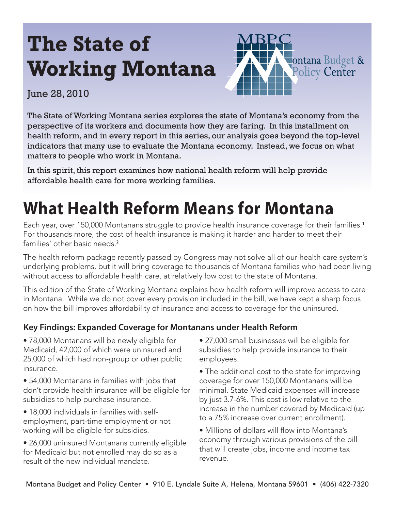# **The State of Working Montana**



## June 28, 2010

The State of Working Montana series explores the state of Montana's economy from the perspective of its workers and documents how they are faring. In this installment on health reform, and in every report in this series, our analysis goes beyond the top-level indicators that many use to evaluate the Montana economy. Instead, we focus on what matters to people who work in Montana.

In this spirit, this report examines how national health reform will help provide affordable health care for more working families.

# **What Health Reform Means for Montana**

Each year, over 150,000 Montanans struggle to provide health insurance coverage for their families.**<sup>1</sup>** For thousands more, the cost of health insurance is making it harder and harder to meet their families' other basic needs.**<sup>2</sup>**

The health reform package recently passed by Congress may not solve all of our health care system's underlying problems, but it will bring coverage to thousands of Montana families who had been living without access to affordable health care, at relatively low cost to the state of Montana.

This edition of the State of Working Montana explains how health reform will improve access to care in Montana. While we do not cover every provision included in the bill, we have kept a sharp focus on how the bill improves affordability of insurance and access to coverage for the uninsured.

## **Key Findings: Expanded Coverage for Montanans under Health Reform**

• 78,000 Montanans will be newly eligible for Medicaid, 42,000 of which were uninsured and 25,000 of which had non-group or other public insurance.

- 54,000 Montanans in families with jobs that don't provide health insurance will be eligible for subsidies to help purchase insurance.
- 18,000 individuals in families with selfemployment, part-time employment or not working will be eligible for subsidies.
- 26,000 uninsured Montanans currently eligible for Medicaid but not enrolled may do so as a result of the new individual mandate.
- 27,000 small businesses will be eligible for subsidies to help provide insurance to their employees.
- The additional cost to the state for improving coverage for over 150,000 Montanans will be minimal. State Medicaid expenses will increase by just 3.7-6%. This cost is low relative to the increase in the number covered by Medicaid (up to a 75% increase over current enrollment).
- Millions of dollars will flow into Montana's economy through various provisions of the bill that will create jobs, income and income tax revenue.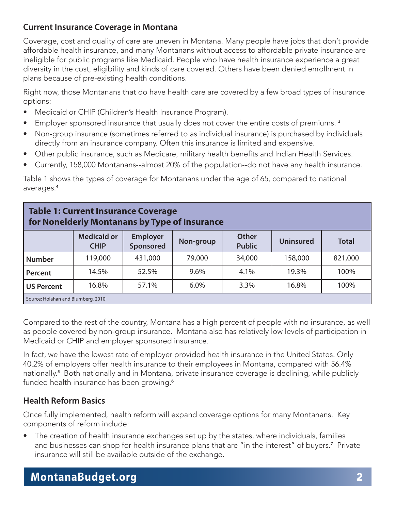### **Current Insurance Coverage in Montana**

Coverage, cost and quality of care are uneven in Montana. Many people have jobs that don't provide affordable health insurance, and many Montanans without access to affordable private insurance are ineligible for public programs like Medicaid. People who have health insurance experience a great diversity in the cost, eligibility and kinds of care covered. Others have been denied enrollment in plans because of pre-existing health conditions.

Right now, those Montanans that do have health care are covered by a few broad types of insurance options:

- Medicaid or CHIP (Children's Health Insurance Program).
- Employer sponsored insurance that usually does not cover the entire costs of premiums. **<sup>3</sup>**
- Non-group insurance (sometimes referred to as individual insurance) is purchased by individuals directly from an insurance company. Often this insurance is limited and expensive.
- Other public insurance, such as Medicare, military health benefits and Indian Health Services.
- Currently, 158,000 Montanans--almost 20% of the population--do not have any health insurance.

Table 1 shows the types of coverage for Montanans under the age of 65, compared to national averages.**<sup>4</sup>**

| <b>Table 1: Current Insurance Coverage</b><br>for Nonelderly Montanans by Type of Insurance |                                   |                              |           |                               |                  |              |  |
|---------------------------------------------------------------------------------------------|-----------------------------------|------------------------------|-----------|-------------------------------|------------------|--------------|--|
|                                                                                             | <b>Medicaid or</b><br><b>CHIP</b> | <b>Employer</b><br>Sponsored | Non-group | <b>Other</b><br><b>Public</b> | <b>Uninsured</b> | <b>Total</b> |  |
| <b>Number</b>                                                                               | 119,000                           | 431,000                      | 79,000    | 34,000                        | 158,000          | 821,000      |  |
| Percent                                                                                     | 14.5%                             | 52.5%                        | 9.6%      | 4.1%                          | 19.3%            | 100%         |  |
| <b>US Percent</b>                                                                           | 16.8%                             | 57.1%                        | 6.0%      | 3.3%                          | 16.8%            | 100%         |  |
| Source: Holahan and Blumberg, 2010                                                          |                                   |                              |           |                               |                  |              |  |

Compared to the rest of the country, Montana has a high percent of people with no insurance, as well as people covered by non-group insurance. Montana also has relatively low levels of participation in Medicaid or CHIP and employer sponsored insurance.

In fact, we have the lowest rate of employer provided health insurance in the United States. Only 40.2% of employers offer health insurance to their employees in Montana, compared with 56.4% nationally.**<sup>5</sup>** Both nationally and in Montana, private insurance coverage is declining, while publicly funded health insurance has been growing.**<sup>6</sup>**

## **Health Reform Basics**

Once fully implemented, health reform will expand coverage options for many Montanans. Key components of reform include:

• The creation of health insurance exchanges set up by the states, where individuals, families and businesses can shop for health insurance plans that are "in the interest" of buyers.**<sup>7</sup>** Private insurance will still be available outside of the exchange.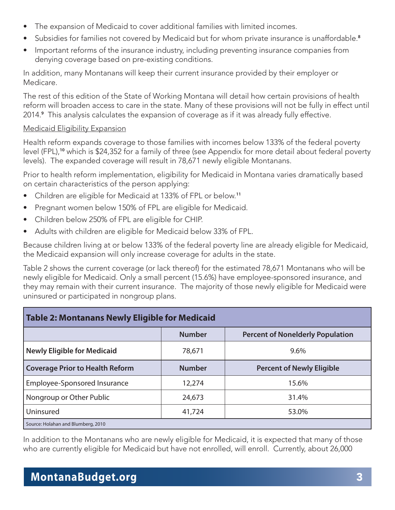- The expansion of Medicaid to cover additional families with limited incomes.
- Subsidies for families not covered by Medicaid but for whom private insurance is unaffordable.**<sup>8</sup>**
- Important reforms of the insurance industry, including preventing insurance companies from denying coverage based on pre-existing conditions.

In addition, many Montanans will keep their current insurance provided by their employer or Medicare.

The rest of this edition of the State of Working Montana will detail how certain provisions of health reform will broaden access to care in the state. Many of these provisions will not be fully in effect until 2014.**<sup>9</sup>** This analysis calculates the expansion of coverage as if it was already fully effective.

#### Medicaid Eligibility Expansion

Health reform expands coverage to those families with incomes below 133% of the federal poverty level (FPL),**<sup>10</sup>** which is \$24,352 for a family of three (see Appendix for more detail about federal poverty levels). The expanded coverage will result in 78,671 newly eligible Montanans.

Prior to health reform implementation, eligibility for Medicaid in Montana varies dramatically based on certain characteristics of the person applying:

- Children are eligible for Medicaid at 133% of FPL or below.**<sup>11</sup>**
- Pregnant women below 150% of FPL are eligible for Medicaid.
- Children below 250% of FPL are eligible for CHIP.
- Adults with children are eligible for Medicaid below 33% of FPL.

Because children living at or below 133% of the federal poverty line are already eligible for Medicaid, the Medicaid expansion will only increase coverage for adults in the state.

Table 2 shows the current coverage (or lack thereof) for the estimated 78,671 Montanans who will be newly eligible for Medicaid. Only a small percent (15.6%) have employee-sponsored insurance, and they may remain with their current insurance. The majority of those newly eligible for Medicaid were uninsured or participated in nongroup plans.

| Table 2: Montanans Newly Eligible for Medicaid |               |                                         |  |  |  |  |
|------------------------------------------------|---------------|-----------------------------------------|--|--|--|--|
|                                                | <b>Number</b> | <b>Percent of Nonelderly Population</b> |  |  |  |  |
| <b>Newly Eligible for Medicaid</b>             | 78,671        | $9.6\%$                                 |  |  |  |  |
| <b>Coverage Prior to Health Reform</b>         | <b>Number</b> | <b>Percent of Newly Eligible</b>        |  |  |  |  |
| Employee-Sponsored Insurance                   | 12,274        | 15.6%                                   |  |  |  |  |
| Nongroup or Other Public                       | 24,673        | 31.4%                                   |  |  |  |  |
| Uninsured                                      | 41,724        | 53.0%                                   |  |  |  |  |
| Source: Holahan and Blumberg, 2010             |               |                                         |  |  |  |  |

In addition to the Montanans who are newly eligible for Medicaid, it is expected that many of those who are currently eligible for Medicaid but have not enrolled, will enroll. Currently, about 26,000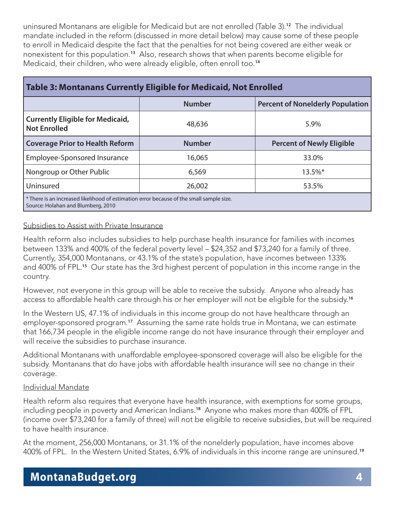uninsured Montanans are eligible for Medicaid but are not enrolled (Table 3).**<sup>12</sup>** The individual mandate included in the reform (discussed in more detail below) may cause some of these people to enroll in Medicaid despite the fact that the penalties for not being covered are either weak or nonexistent for this population.**<sup>13</sup>** Also, research shows that when parents become eligible for Medicaid, their children, who were already eligible, often enroll too.**<sup>14</sup>**

| Table 3: Montanans Currently Eligible for Medicaid, Not Enrolled                                                               |               |                                         |  |  |  |
|--------------------------------------------------------------------------------------------------------------------------------|---------------|-----------------------------------------|--|--|--|
|                                                                                                                                | <b>Number</b> | <b>Percent of Nonelderly Population</b> |  |  |  |
| <b>Currently Eligible for Medicaid,</b><br><b>Not Enrolled</b>                                                                 | 48,636        | 5.9%                                    |  |  |  |
| <b>Coverage Prior to Health Reform</b>                                                                                         | <b>Number</b> | <b>Percent of Newly Eligible</b>        |  |  |  |
| Employee-Sponsored Insurance                                                                                                   | 16,065        | 33.0%                                   |  |  |  |
| Nongroup or Other Public                                                                                                       | 6,569         | $13.5\%$ *                              |  |  |  |
| Uninsured                                                                                                                      | 26,002        | 53.5%                                   |  |  |  |
| * There is an increased likelihood of estimation error because of the small sample size.<br>Source: Holahan and Blumberg, 2010 |               |                                         |  |  |  |

#### Subsidies to Assist with Private Insurance

Health reform also includes subsidies to help purchase health insurance for families with incomes between 133% and 400% of the federal poverty level – \$24,352 and \$73,240 for a family of three. Currently, 354,000 Montanans, or 43.1% of the state's population, have incomes between 133% and 400% of FPL.**<sup>15</sup>** Our state has the 3rd highest percent of population in this income range in the country.

However, not everyone in this group will be able to receive the subsidy. Anyone who already has access to affordable health care through his or her employer will not be eligible for the subsidy.**<sup>16</sup>**

In the Western US, 47.1% of individuals in this income group do not have healthcare through an employer-sponsored program.**<sup>17</sup>** Assuming the same rate holds true in Montana, we can estimate that 166,734 people in the eligible income range do not have insurance through their employer and will receive the subsidies to purchase insurance.

Additional Montanans with unaffordable employee-sponsored coverage will also be eligible for the subsidy. Montanans that do have jobs with affordable health insurance will see no change in their coverage.

#### Individual Mandate

Health reform also requires that everyone have health insurance, with exemptions for some groups, including people in poverty and American Indians.**<sup>18</sup>** Anyone who makes more than 400% of FPL (income over \$73,240 for a family of three) will not be eligible to receive subsidies, but will be required to have health insurance.

At the moment, 256,000 Montanans, or 31.1% of the nonelderly population, have incomes above 400% of FPL. In the Western United States, 6.9% of individuals in this income range are uninsured.**<sup>19</sup>**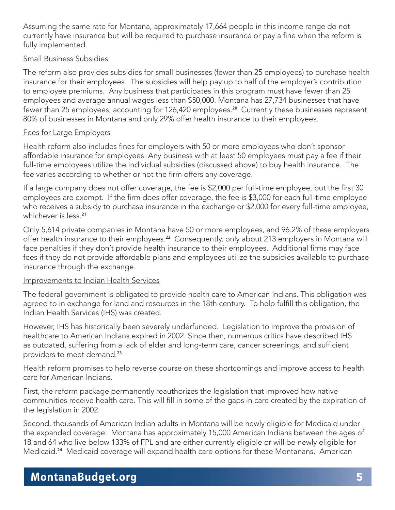Assuming the same rate for Montana, approximately 17,664 people in this income range do not currently have insurance but will be required to purchase insurance or pay a fine when the reform is fully implemented.

#### Small Business Subsidies

The reform also provides subsidies for small businesses (fewer than 25 employees) to purchase health insurance for their employees. The subsidies will help pay up to half of the employer's contribution to employee premiums. Any business that participates in this program must have fewer than 25 employees and average annual wages less than \$50,000. Montana has 27,734 businesses that have fewer than 25 employees, accounting for 126,420 employees.**<sup>20</sup>** Currently these businesses represent 80% of businesses in Montana and only 29% offer health insurance to their employees.

#### Fees for Large Employers

Health reform also includes fines for employers with 50 or more employees who don't sponsor affordable insurance for employees. Any business with at least 50 employees must pay a fee if their full-time employees utilize the individual subsidies (discussed above) to buy health insurance. The fee varies according to whether or not the firm offers any coverage.

If a large company does not offer coverage, the fee is \$2,000 per full-time employee, but the first 30 employees are exempt. If the firm does offer coverage, the fee is \$3,000 for each full-time employee who receives a subsidy to purchase insurance in the exchange or \$2,000 for every full-time employee, whichever is less.**<sup>21</sup>**

Only 5,614 private companies in Montana have 50 or more employees, and 96.2% of these employers offer health insurance to their employees.**<sup>22</sup>** Consequently, only about 213 employers in Montana will face penalties if they don't provide health insurance to their employees. Additional firms may face fees if they do not provide affordable plans and employees utilize the subsidies available to purchase insurance through the exchange.

#### Improvements to Indian Health Services

The federal government is obligated to provide health care to American Indians. This obligation was agreed to in exchange for land and resources in the 18th century. To help fulfill this obligation, the Indian Health Services (IHS) was created.

However, IHS has historically been severely underfunded. Legislation to improve the provision of healthcare to American Indians expired in 2002. Since then, numerous critics have described IHS as outdated, suffering from a lack of elder and long-term care, cancer screenings, and sufficient providers to meet demand.**<sup>23</sup>**

Health reform promises to help reverse course on these shortcomings and improve access to health care for American Indians.

First, the reform package permanently reauthorizes the legislation that improved how native communities receive health care. This will fill in some of the gaps in care created by the expiration of the legislation in 2002.

Second, thousands of American Indian adults in Montana will be newly eligible for Medicaid under the expanded coverage. Montana has approximately 15,000 American Indians between the ages of 18 and 64 who live below 133% of FPL and are either currently eligible or will be newly eligible for Medicaid.**24** Medicaid coverage will expand health care options for these Montanans. American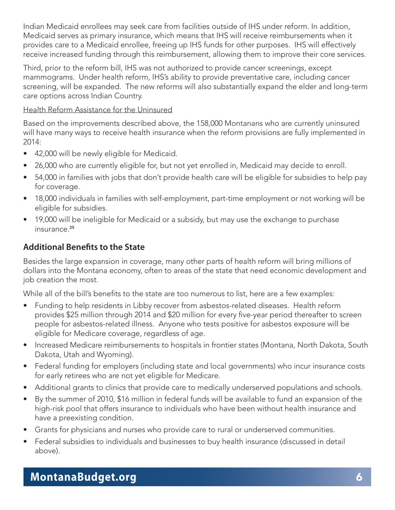Indian Medicaid enrollees may seek care from facilities outside of IHS under reform. In addition, Medicaid serves as primary insurance, which means that IHS will receive reimbursements when it provides care to a Medicaid enrollee, freeing up IHS funds for other purposes. IHS will effectively receive increased funding through this reimbursement, allowing them to improve their core services.

Third, prior to the reform bill, IHS was not authorized to provide cancer screenings, except mammograms. Under health reform, IHS's ability to provide preventative care, including cancer screening, will be expanded. The new reforms will also substantially expand the elder and long-term care options across Indian Country.

#### Health Reform Assistance for the Uninsured

Based on the improvements described above, the 158,000 Montanans who are currently uninsured will have many ways to receive health insurance when the reform provisions are fully implemented in 2014:

- 42,000 will be newly eligible for Medicaid.
- 26,000 who are currently eligible for, but not yet enrolled in, Medicaid may decide to enroll.
- 54,000 in families with jobs that don't provide health care will be eligible for subsidies to help pay for coverage.
- 18,000 individuals in families with self-employment, part-time employment or not working will be eligible for subsidies.
- 19,000 will be ineligible for Medicaid or a subsidy, but may use the exchange to purchase insurance.**<sup>25</sup>**

### **Additional Benefits to the State**

Besides the large expansion in coverage, many other parts of health reform will bring millions of dollars into the Montana economy, often to areas of the state that need economic development and job creation the most.

While all of the bill's benefits to the state are too numerous to list, here are a few examples:

- Funding to help residents in Libby recover from asbestos-related diseases. Health reform provides \$25 million through 2014 and \$20 million for every five-year period thereafter to screen people for asbestos-related illness. Anyone who tests positive for asbestos exposure will be eligible for Medicare coverage, regardless of age.
- Increased Medicare reimbursements to hospitals in frontier states (Montana, North Dakota, South Dakota, Utah and Wyoming).
- Federal funding for employers (including state and local governments) who incur insurance costs for early retirees who are not yet eligible for Medicare.
- Additional grants to clinics that provide care to medically underserved populations and schools.
- By the summer of 2010, \$16 million in federal funds will be available to fund an expansion of the high-risk pool that offers insurance to individuals who have been without health insurance and have a preexisting condition.
- Grants for physicians and nurses who provide care to rural or underserved communities.
- Federal subsidies to individuals and businesses to buy health insurance (discussed in detail above).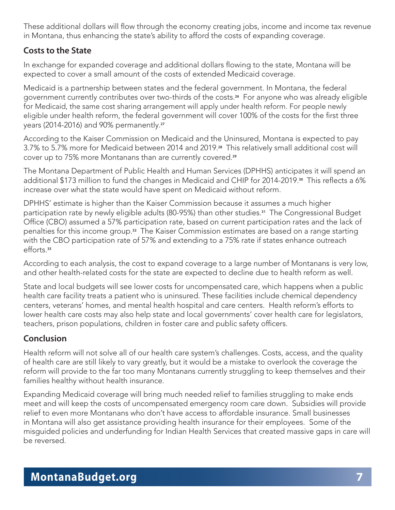These additional dollars will flow through the economy creating jobs, income and income tax revenue in Montana, thus enhancing the state's ability to afford the costs of expanding coverage.

### **Costs to the State**

In exchange for expanded coverage and additional dollars flowing to the state, Montana will be expected to cover a small amount of the costs of extended Medicaid coverage.

Medicaid is a partnership between states and the federal government. In Montana, the federal government currently contributes over two-thirds of the costs.**26** For anyone who was already eligible for Medicaid, the same cost sharing arrangement will apply under health reform. For people newly eligible under health reform, the federal government will cover 100% of the costs for the first three years (2014-2016) and 90% permanently. **27**

According to the Kaiser Commission on Medicaid and the Uninsured, Montana is expected to pay 3.7% to 5.7% more for Medicaid between 2014 and 2019. **<sup>28</sup>** This relatively small additional cost will cover up to 75% more Montanans than are currently covered.**<sup>29</sup>**

The Montana Department of Public Health and Human Services (DPHHS) anticipates it will spend an additional \$173 million to fund the changes in Medicaid and CHIP for 2014-2019.**30** This reflects a 6% increase over what the state would have spent on Medicaid without reform.

DPHHS' estimate is higher than the Kaiser Commission because it assumes a much higher participation rate by newly eligible adults (80-95%) than other studies.**31** The Congressional Budget Office (CBO) assumed a 57% participation rate, based on current participation rates and the lack of penalties for this income group.**32** The Kaiser Commission estimates are based on a range starting with the CBO participation rate of 57% and extending to a 75% rate if states enhance outreach efforts.**<sup>33</sup>**

According to each analysis, the cost to expand coverage to a large number of Montanans is very low, and other health-related costs for the state are expected to decline due to health reform as well.

State and local budgets will see lower costs for uncompensated care, which happens when a public health care facility treats a patient who is uninsured. These facilities include chemical dependency centers, veterans' homes, and mental health hospital and care centers. Health reform's efforts to lower health care costs may also help state and local governments' cover health care for legislators, teachers, prison populations, children in foster care and public safety officers.

## **Conclusion**

Health reform will not solve all of our health care system's challenges. Costs, access, and the quality of health care are still likely to vary greatly, but it would be a mistake to overlook the coverage the reform will provide to the far too many Montanans currently struggling to keep themselves and their families healthy without health insurance.

Expanding Medicaid coverage will bring much needed relief to families struggling to make ends meet and will keep the costs of uncompensated emergency room care down. Subsidies will provide relief to even more Montanans who don't have access to affordable insurance. Small businesses in Montana will also get assistance providing health insurance for their employees. Some of the misguided policies and underfunding for Indian Health Services that created massive gaps in care will be reversed.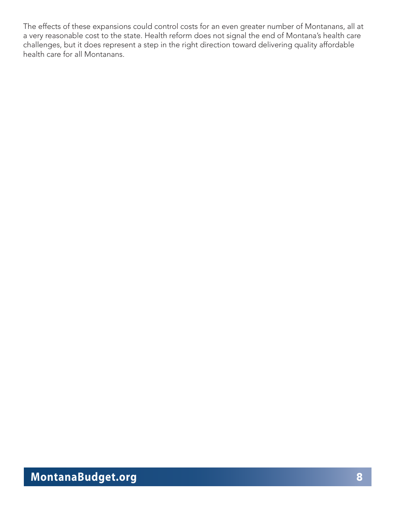The effects of these expansions could control costs for an even greater number of Montanans, all at a very reasonable cost to the state. Health reform does not signal the end of Montana's health care challenges, but it does represent a step in the right direction toward delivering quality affordable health care for all Montanans.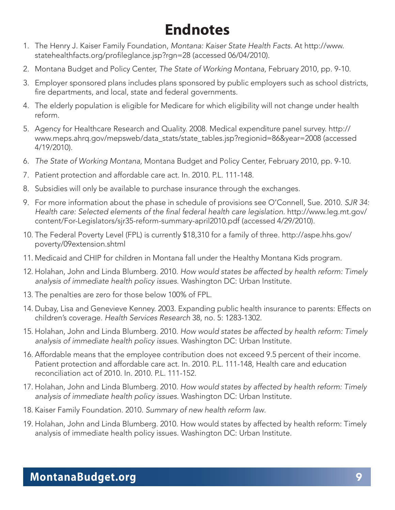# **Endnotes**

- 1. The Henry J. Kaiser Family Foundation, Montana: Kaiser State Health Facts. At http://www. statehealthfacts.org/profileglance.jsp?rgn=28 (accessed 06/04/2010).
- 2. Montana Budget and Policy Center, The State of Working Montana, February 2010, pp. 9-10.
- 3. Employer sponsored plans includes plans sponsored by public employers such as school districts, fire departments, and local, state and federal governments.
- 4. The elderly population is eligible for Medicare for which eligibility will not change under health reform.
- 5. Agency for Healthcare Research and Quality. 2008. Medical expenditure panel survey. http:// www.meps.ahrq.gov/mepsweb/data\_stats/state\_tables.jsp?regionid=86&year=2008 (accessed 4/19/2010).
- 6. The State of Working Montana, Montana Budget and Policy Center, February 2010, pp. 9-10.
- 7. Patient protection and affordable care act. In. 2010. P.L. 111-148.
- 8. Subsidies will only be available to purchase insurance through the exchanges.
- 9. For more information about the phase in schedule of provisions see O'Connell, Sue. 2010. SJR 34: Health care: Selected elements of the final federal health care legislation. http://www.leg.mt.gov/ content/For-Legislators/sjr35-reform-summary-april2010.pdf (accessed 4/29/2010).
- 10. The Federal Poverty Level (FPL) is currently \$18,310 for a family of three. http://aspe.hhs.gov/ poverty/09extension.shtml
- 11. Medicaid and CHIP for children in Montana fall under the Healthy Montana Kids program.
- 12. Holahan, John and Linda Blumberg. 2010. How would states be affected by health reform: Timely analysis of immediate health policy issues. Washington DC: Urban Institute.
- 13. The penalties are zero for those below 100% of FPL.
- 14. Dubay, Lisa and Genevieve Kenney. 2003. Expanding public health insurance to parents: Effects on children's coverage. Health Services Research 38, no. 5: 1283-1302.
- 15. Holahan, John and Linda Blumberg. 2010. How would states be affected by health reform: Timely analysis of immediate health policy issues. Washington DC: Urban Institute.
- 16. Affordable means that the employee contribution does not exceed 9.5 percent of their income. Patient protection and affordable care act. In. 2010. P.L. 111-148, Health care and education reconciliation act of 2010. In. 2010. P.L. 111-152.
- 17. Holahan, John and Linda Blumberg. 2010. How would states by affected by health reform: Timely analysis of immediate health policy issues. Washington DC: Urban Institute.
- 18. Kaiser Family Foundation. 2010. Summary of new health reform law.
- 19. Holahan, John and Linda Blumberg. 2010. How would states by affected by health reform: Timely analysis of immediate health policy issues. Washington DC: Urban Institute.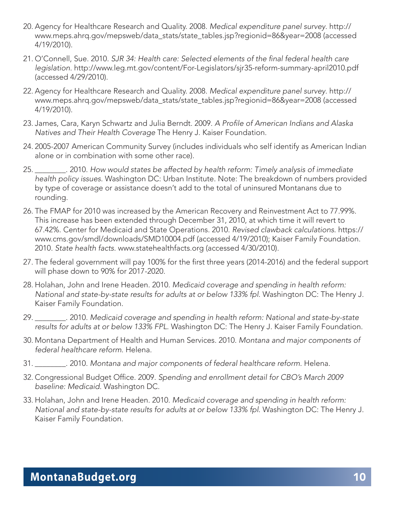- 20. Agency for Healthcare Research and Quality. 2008. Medical expenditure panel survey. http:// www.meps.ahrq.gov/mepsweb/data\_stats/state\_tables.jsp?regionid=86&year=2008 (accessed 4/19/2010).
- 21. O'Connell, Sue. 2010. SJR 34: Health care: Selected elements of the final federal health care legislation. http://www.leg.mt.gov/content/For-Legislators/sjr35-reform-summary-april2010.pdf (accessed 4/29/2010).
- 22. Agency for Healthcare Research and Quality. 2008. Medical expenditure panel survey. http:// www.meps.ahrq.gov/mepsweb/data\_stats/state\_tables.jsp?regionid=86&year=2008 (accessed 4/19/2010).
- 23. James, Cara, Karyn Schwartz and Julia Berndt. 2009. A Profile of American Indians and Alaska Natives and Their Health Coverage The Henry J. Kaiser Foundation.
- 24. 2005-2007 American Community Survey (includes individuals who self identify as American Indian alone or in combination with some other race).
- 25. \_\_\_\_\_\_\_\_. 2010. How would states be affected by health reform: Timely analysis of immediate health policy issues. Washington DC: Urban Institute. Note: The breakdown of numbers provided by type of coverage or assistance doesn't add to the total of uninsured Montanans due to rounding.
- 26. The FMAP for 2010 was increased by the American Recovery and Reinvestment Act to 77.99%. This increase has been extended through December 31, 2010, at which time it will revert to 67.42%. Center for Medicaid and State Operations. 2010. Revised clawback calculations. https:// www.cms.gov/smdl/downloads/SMD10004.pdf (accessed 4/19/2010); Kaiser Family Foundation. 2010. State health facts. www.statehealthfacts.org (accessed 4/30/2010).
- 27. The federal government will pay 100% for the first three years (2014-2016) and the federal support will phase down to 90% for 2017-2020.
- 28. Holahan, John and Irene Headen. 2010. Medicaid coverage and spending in health reform: National and state-by-state results for adults at or below 133% fpl. Washington DC: The Henry J. Kaiser Family Foundation.
- 29. \_\_\_\_\_\_\_\_. 2010. Medicaid coverage and spending in health reform: National and state-by-state results for adults at or below 133% FPL. Washington DC: The Henry J. Kaiser Family Foundation.
- 30. Montana Department of Health and Human Services. 2010. Montana and major components of federal healthcare reform. Helena.
- 31. \_\_\_\_\_\_\_\_. 2010. Montana and major components of federal healthcare reform. Helena.
- 32. Congressional Budget Office. 2009. Spending and enrollment detail for CBO's March 2009 baseline: Medicaid. Washington DC.
- 33. Holahan, John and Irene Headen. 2010. Medicaid coverage and spending in health reform: National and state-by-state results for adults at or below 133% fpl. Washington DC: The Henry J. Kaiser Family Foundation.